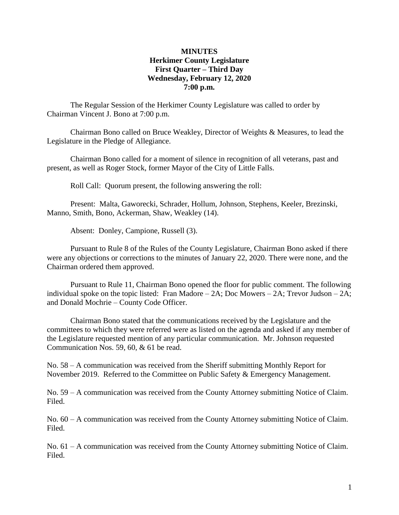#### **MINUTES Herkimer County Legislature First Quarter – Third Day Wednesday, February 12, 2020 7:00 p.m.**

The Regular Session of the Herkimer County Legislature was called to order by Chairman Vincent J. Bono at 7:00 p.m.

Chairman Bono called on Bruce Weakley, Director of Weights & Measures, to lead the Legislature in the Pledge of Allegiance.

Chairman Bono called for a moment of silence in recognition of all veterans, past and present, as well as Roger Stock, former Mayor of the City of Little Falls.

Roll Call: Quorum present, the following answering the roll:

Present: Malta, Gaworecki, Schrader, Hollum, Johnson, Stephens, Keeler, Brezinski, Manno, Smith, Bono, Ackerman, Shaw, Weakley (14).

Absent: Donley, Campione, Russell (3).

Pursuant to Rule 8 of the Rules of the County Legislature, Chairman Bono asked if there were any objections or corrections to the minutes of January 22, 2020. There were none, and the Chairman ordered them approved.

Pursuant to Rule 11, Chairman Bono opened the floor for public comment. The following individual spoke on the topic listed: Fran Madore – 2A; Doc Mowers – 2A; Trevor Judson – 2A; and Donald Mochrie – County Code Officer.

Chairman Bono stated that the communications received by the Legislature and the committees to which they were referred were as listed on the agenda and asked if any member of the Legislature requested mention of any particular communication. Mr. Johnson requested Communication Nos. 59, 60, & 61 be read.

No. 58 – A communication was received from the Sheriff submitting Monthly Report for November 2019. Referred to the Committee on Public Safety & Emergency Management.

No. 59 – A communication was received from the County Attorney submitting Notice of Claim. Filed.

No. 60 – A communication was received from the County Attorney submitting Notice of Claim. Filed.

No. 61 – A communication was received from the County Attorney submitting Notice of Claim. Filed.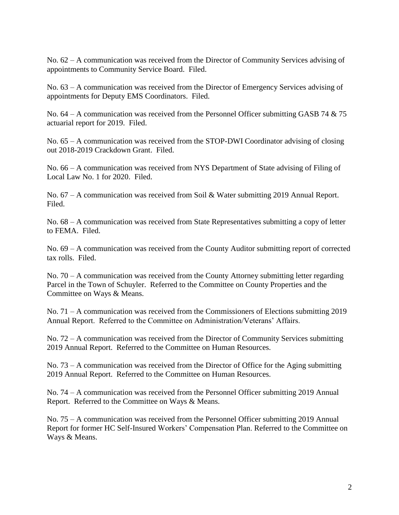No. 62 – A communication was received from the Director of Community Services advising of appointments to Community Service Board. Filed.

No. 63 – A communication was received from the Director of Emergency Services advising of appointments for Deputy EMS Coordinators. Filed.

No.  $64 - A$  communication was received from the Personnel Officer submitting GASB 74  $& 75$ actuarial report for 2019. Filed.

No. 65 – A communication was received from the STOP-DWI Coordinator advising of closing out 2018-2019 Crackdown Grant. Filed.

No. 66 – A communication was received from NYS Department of State advising of Filing of Local Law No. 1 for 2020. Filed.

No. 67 – A communication was received from Soil & Water submitting 2019 Annual Report. Filed.

No. 68 – A communication was received from State Representatives submitting a copy of letter to FEMA. Filed.

No. 69 – A communication was received from the County Auditor submitting report of corrected tax rolls. Filed.

No. 70 – A communication was received from the County Attorney submitting letter regarding Parcel in the Town of Schuyler. Referred to the Committee on County Properties and the Committee on Ways & Means.

No. 71 – A communication was received from the Commissioners of Elections submitting 2019 Annual Report. Referred to the Committee on Administration/Veterans' Affairs.

No. 72 – A communication was received from the Director of Community Services submitting 2019 Annual Report. Referred to the Committee on Human Resources.

No.  $73 - A$  communication was received from the Director of Office for the Aging submitting 2019 Annual Report. Referred to the Committee on Human Resources.

No. 74 – A communication was received from the Personnel Officer submitting 2019 Annual Report. Referred to the Committee on Ways & Means.

No. 75 – A communication was received from the Personnel Officer submitting 2019 Annual Report for former HC Self-Insured Workers' Compensation Plan. Referred to the Committee on Ways & Means.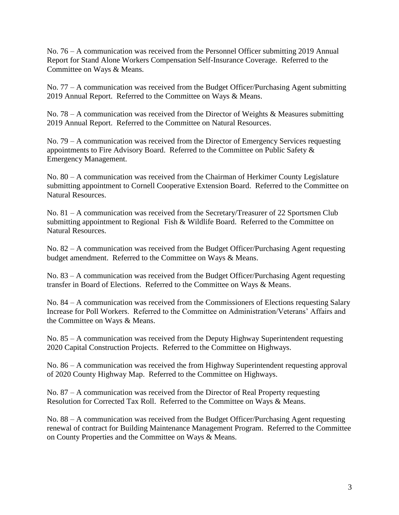No. 76 – A communication was received from the Personnel Officer submitting 2019 Annual Report for Stand Alone Workers Compensation Self-Insurance Coverage. Referred to the Committee on Ways & Means.

No. 77 – A communication was received from the Budget Officer/Purchasing Agent submitting 2019 Annual Report. Referred to the Committee on Ways & Means.

No. 78 – A communication was received from the Director of Weights & Measures submitting 2019 Annual Report. Referred to the Committee on Natural Resources.

No. 79 – A communication was received from the Director of Emergency Services requesting appointments to Fire Advisory Board. Referred to the Committee on Public Safety & Emergency Management.

No. 80 – A communication was received from the Chairman of Herkimer County Legislature submitting appointment to Cornell Cooperative Extension Board. Referred to the Committee on Natural Resources.

No. 81 – A communication was received from the Secretary/Treasurer of 22 Sportsmen Club submitting appointment to Regional Fish & Wildlife Board. Referred to the Committee on Natural Resources.

No. 82 – A communication was received from the Budget Officer/Purchasing Agent requesting budget amendment. Referred to the Committee on Ways & Means.

No. 83 – A communication was received from the Budget Officer/Purchasing Agent requesting transfer in Board of Elections. Referred to the Committee on Ways & Means.

No. 84 – A communication was received from the Commissioners of Elections requesting Salary Increase for Poll Workers. Referred to the Committee on Administration/Veterans' Affairs and the Committee on Ways & Means.

No. 85 – A communication was received from the Deputy Highway Superintendent requesting 2020 Capital Construction Projects. Referred to the Committee on Highways.

No. 86 – A communication was received the from Highway Superintendent requesting approval of 2020 County Highway Map. Referred to the Committee on Highways.

No. 87 – A communication was received from the Director of Real Property requesting Resolution for Corrected Tax Roll. Referred to the Committee on Ways & Means.

No. 88 – A communication was received from the Budget Officer/Purchasing Agent requesting renewal of contract for Building Maintenance Management Program. Referred to the Committee on County Properties and the Committee on Ways & Means.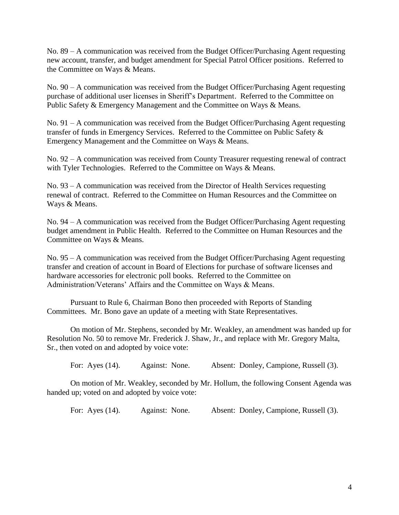No. 89 – A communication was received from the Budget Officer/Purchasing Agent requesting new account, transfer, and budget amendment for Special Patrol Officer positions. Referred to the Committee on Ways & Means.

No. 90 – A communication was received from the Budget Officer/Purchasing Agent requesting purchase of additional user licenses in Sheriff's Department. Referred to the Committee on Public Safety & Emergency Management and the Committee on Ways & Means.

No. 91 – A communication was received from the Budget Officer/Purchasing Agent requesting transfer of funds in Emergency Services. Referred to the Committee on Public Safety & Emergency Management and the Committee on Ways & Means.

No. 92 – A communication was received from County Treasurer requesting renewal of contract with Tyler Technologies. Referred to the Committee on Ways & Means.

No. 93 – A communication was received from the Director of Health Services requesting renewal of contract. Referred to the Committee on Human Resources and the Committee on Ways & Means.

No. 94 – A communication was received from the Budget Officer/Purchasing Agent requesting budget amendment in Public Health. Referred to the Committee on Human Resources and the Committee on Ways & Means.

No. 95 – A communication was received from the Budget Officer/Purchasing Agent requesting transfer and creation of account in Board of Elections for purchase of software licenses and hardware accessories for electronic poll books. Referred to the Committee on Administration/Veterans' Affairs and the Committee on Ways & Means.

Pursuant to Rule 6, Chairman Bono then proceeded with Reports of Standing Committees. Mr. Bono gave an update of a meeting with State Representatives.

On motion of Mr. Stephens, seconded by Mr. Weakley, an amendment was handed up for Resolution No. 50 to remove Mr. Frederick J. Shaw, Jr., and replace with Mr. Gregory Malta, Sr., then voted on and adopted by voice vote:

For: Ayes (14). Against: None. Absent: Donley, Campione, Russell (3).

On motion of Mr. Weakley, seconded by Mr. Hollum, the following Consent Agenda was handed up; voted on and adopted by voice vote:

For: Ayes (14). Against: None. Absent: Donley, Campione, Russell (3).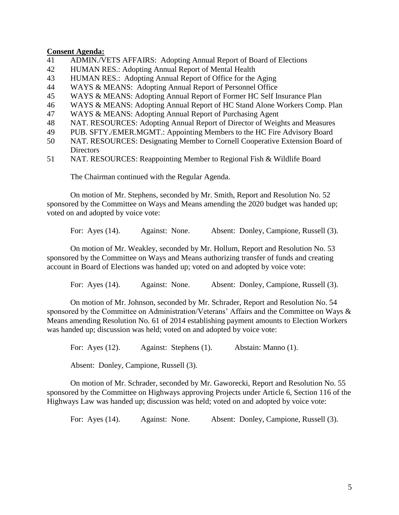#### **Consent Agenda:**

- 41 ADMIN./VETS AFFAIRS: Adopting Annual Report of Board of Elections
- 42 HUMAN RES.: Adopting Annual Report of Mental Health
- 43 HUMAN RES.: Adopting Annual Report of Office for the Aging
- 44 WAYS & MEANS: Adopting Annual Report of Personnel Office
- 45 WAYS & MEANS: Adopting Annual Report of Former HC Self Insurance Plan
- 46 WAYS & MEANS: Adopting Annual Report of HC Stand Alone Workers Comp. Plan
- 47 WAYS & MEANS: Adopting Annual Report of Purchasing Agent
- 48 NAT. RESOURCES: Adopting Annual Report of Director of Weights and Measures
- 49 PUB. SFTY./EMER.MGMT.: Appointing Members to the HC Fire Advisory Board
- 50 NAT. RESOURCES: Designating Member to Cornell Cooperative Extension Board of **Directors**
- 51 NAT. RESOURCES: Reappointing Member to Regional Fish & Wildlife Board

The Chairman continued with the Regular Agenda.

On motion of Mr. Stephens, seconded by Mr. Smith, Report and Resolution No. 52 sponsored by the Committee on Ways and Means amending the 2020 budget was handed up; voted on and adopted by voice vote:

For: Ayes (14). Against: None. Absent: Donley, Campione, Russell (3).

On motion of Mr. Weakley, seconded by Mr. Hollum, Report and Resolution No. 53 sponsored by the Committee on Ways and Means authorizing transfer of funds and creating account in Board of Elections was handed up; voted on and adopted by voice vote:

For: Ayes (14). Against: None. Absent: Donley, Campione, Russell (3).

On motion of Mr. Johnson, seconded by Mr. Schrader, Report and Resolution No. 54 sponsored by the Committee on Administration/Veterans' Affairs and the Committee on Ways & Means amending Resolution No. 61 of 2014 establishing payment amounts to Election Workers was handed up; discussion was held; voted on and adopted by voice vote:

For: Ayes (12). Against: Stephens (1). Abstain: Manno (1).

Absent: Donley, Campione, Russell (3).

On motion of Mr. Schrader, seconded by Mr. Gaworecki, Report and Resolution No. 55 sponsored by the Committee on Highways approving Projects under Article 6, Section 116 of the Highways Law was handed up; discussion was held; voted on and adopted by voice vote:

For: Ayes (14). Against: None. Absent: Donley, Campione, Russell (3).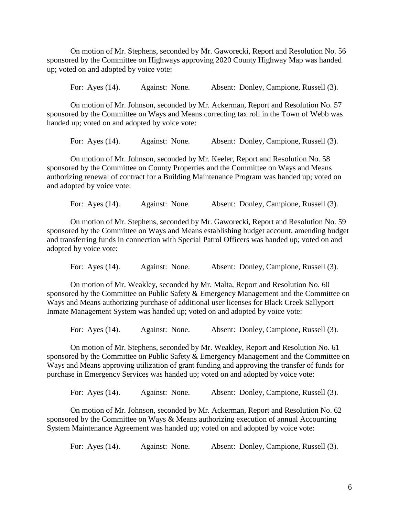On motion of Mr. Stephens, seconded by Mr. Gaworecki, Report and Resolution No. 56 sponsored by the Committee on Highways approving 2020 County Highway Map was handed up; voted on and adopted by voice vote:

For: Ayes (14). Against: None. Absent: Donley, Campione, Russell (3).

On motion of Mr. Johnson, seconded by Mr. Ackerman, Report and Resolution No. 57 sponsored by the Committee on Ways and Means correcting tax roll in the Town of Webb was handed up; voted on and adopted by voice vote:

For: Ayes (14). Against: None. Absent: Donley, Campione, Russell (3).

On motion of Mr. Johnson, seconded by Mr. Keeler, Report and Resolution No. 58 sponsored by the Committee on County Properties and the Committee on Ways and Means authorizing renewal of contract for a Building Maintenance Program was handed up; voted on and adopted by voice vote:

For: Ayes (14). Against: None. Absent: Donley, Campione, Russell (3).

On motion of Mr. Stephens, seconded by Mr. Gaworecki, Report and Resolution No. 59 sponsored by the Committee on Ways and Means establishing budget account, amending budget and transferring funds in connection with Special Patrol Officers was handed up; voted on and adopted by voice vote:

For: Ayes (14). Against: None. Absent: Donley, Campione, Russell (3).

On motion of Mr. Weakley, seconded by Mr. Malta, Report and Resolution No. 60 sponsored by the Committee on Public Safety & Emergency Management and the Committee on Ways and Means authorizing purchase of additional user licenses for Black Creek Sallyport Inmate Management System was handed up; voted on and adopted by voice vote:

For: Ayes (14). Against: None. Absent: Donley, Campione, Russell (3).

On motion of Mr. Stephens, seconded by Mr. Weakley, Report and Resolution No. 61 sponsored by the Committee on Public Safety & Emergency Management and the Committee on Ways and Means approving utilization of grant funding and approving the transfer of funds for purchase in Emergency Services was handed up; voted on and adopted by voice vote:

For: Ayes (14). Against: None. Absent: Donley, Campione, Russell (3).

On motion of Mr. Johnson, seconded by Mr. Ackerman, Report and Resolution No. 62 sponsored by the Committee on Ways & Means authorizing execution of annual Accounting System Maintenance Agreement was handed up; voted on and adopted by voice vote:

For: Ayes (14). Against: None. Absent: Donley, Campione, Russell (3).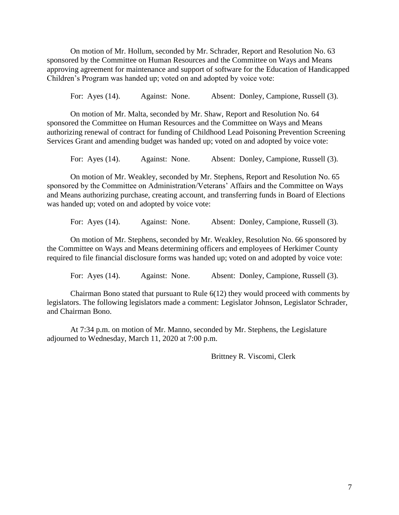On motion of Mr. Hollum, seconded by Mr. Schrader, Report and Resolution No. 63 sponsored by the Committee on Human Resources and the Committee on Ways and Means approving agreement for maintenance and support of software for the Education of Handicapped Children's Program was handed up; voted on and adopted by voice vote:

For: Ayes (14). Against: None. Absent: Donley, Campione, Russell (3).

On motion of Mr. Malta, seconded by Mr. Shaw, Report and Resolution No. 64 sponsored the Committee on Human Resources and the Committee on Ways and Means authorizing renewal of contract for funding of Childhood Lead Poisoning Prevention Screening Services Grant and amending budget was handed up; voted on and adopted by voice vote:

For: Ayes (14). Against: None. Absent: Donley, Campione, Russell (3).

On motion of Mr. Weakley, seconded by Mr. Stephens, Report and Resolution No. 65 sponsored by the Committee on Administration/Veterans' Affairs and the Committee on Ways and Means authorizing purchase, creating account, and transferring funds in Board of Elections was handed up; voted on and adopted by voice vote:

For: Ayes (14). Against: None. Absent: Donley, Campione, Russell (3).

On motion of Mr. Stephens, seconded by Mr. Weakley, Resolution No. 66 sponsored by the Committee on Ways and Means determining officers and employees of Herkimer County required to file financial disclosure forms was handed up; voted on and adopted by voice vote:

For: Ayes (14). Against: None. Absent: Donley, Campione, Russell (3).

Chairman Bono stated that pursuant to Rule 6(12) they would proceed with comments by legislators. The following legislators made a comment: Legislator Johnson, Legislator Schrader, and Chairman Bono.

At 7:34 p.m. on motion of Mr. Manno, seconded by Mr. Stephens, the Legislature adjourned to Wednesday, March 11, 2020 at 7:00 p.m.

Brittney R. Viscomi, Clerk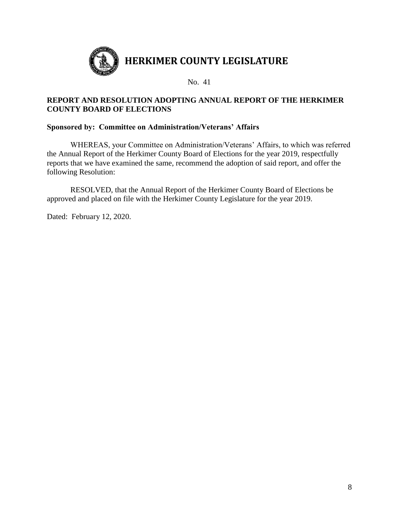

# **REPORT AND RESOLUTION ADOPTING ANNUAL REPORT OF THE HERKIMER COUNTY BOARD OF ELECTIONS**

## **Sponsored by: Committee on Administration/Veterans' Affairs**

WHEREAS, your Committee on Administration/Veterans' Affairs, to which was referred the Annual Report of the Herkimer County Board of Elections for the year 2019, respectfully reports that we have examined the same, recommend the adoption of said report, and offer the following Resolution:

RESOLVED, that the Annual Report of the Herkimer County Board of Elections be approved and placed on file with the Herkimer County Legislature for the year 2019.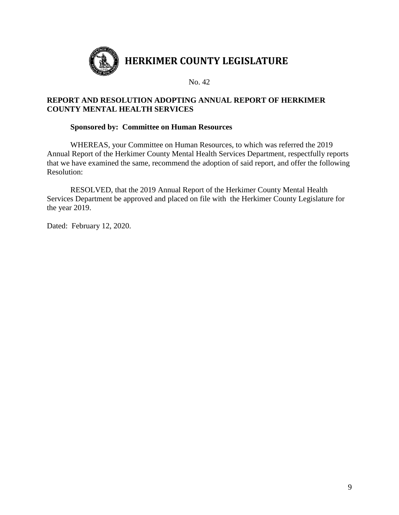

# **REPORT AND RESOLUTION ADOPTING ANNUAL REPORT OF HERKIMER COUNTY MENTAL HEALTH SERVICES**

## **Sponsored by: Committee on Human Resources**

WHEREAS, your Committee on Human Resources, to which was referred the 2019 Annual Report of the Herkimer County Mental Health Services Department, respectfully reports that we have examined the same, recommend the adoption of said report, and offer the following Resolution:

RESOLVED, that the 2019 Annual Report of the Herkimer County Mental Health Services Department be approved and placed on file with the Herkimer County Legislature for the year 2019.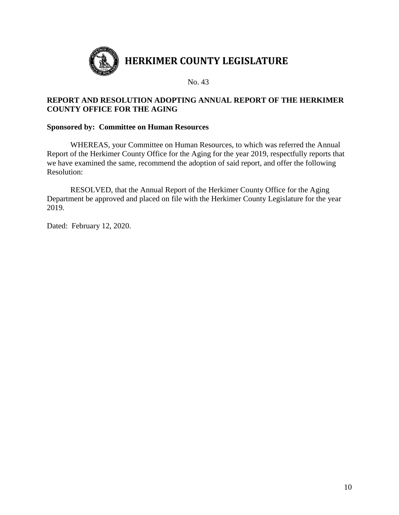

# **REPORT AND RESOLUTION ADOPTING ANNUAL REPORT OF THE HERKIMER COUNTY OFFICE FOR THE AGING**

#### **Sponsored by: Committee on Human Resources**

WHEREAS, your Committee on Human Resources, to which was referred the Annual Report of the Herkimer County Office for the Aging for the year 2019, respectfully reports that we have examined the same, recommend the adoption of said report, and offer the following Resolution:

RESOLVED, that the Annual Report of the Herkimer County Office for the Aging Department be approved and placed on file with the Herkimer County Legislature for the year 2019.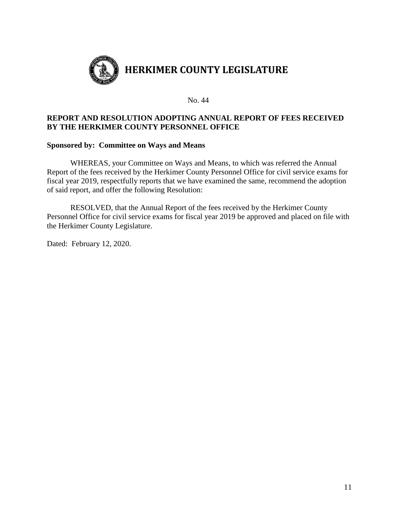

### **REPORT AND RESOLUTION ADOPTING ANNUAL REPORT OF FEES RECEIVED BY THE HERKIMER COUNTY PERSONNEL OFFICE**

#### **Sponsored by: Committee on Ways and Means**

WHEREAS, your Committee on Ways and Means, to which was referred the Annual Report of the fees received by the Herkimer County Personnel Office for civil service exams for fiscal year 2019, respectfully reports that we have examined the same, recommend the adoption of said report, and offer the following Resolution:

RESOLVED, that the Annual Report of the fees received by the Herkimer County Personnel Office for civil service exams for fiscal year 2019 be approved and placed on file with the Herkimer County Legislature.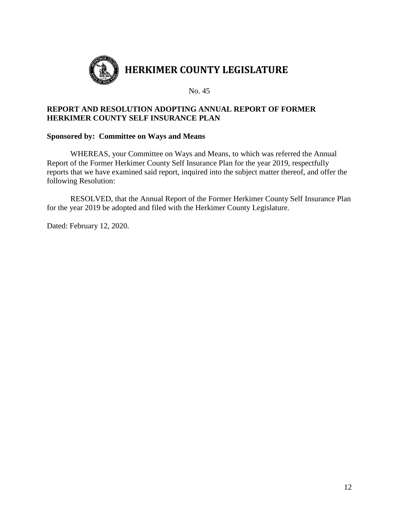

# **REPORT AND RESOLUTION ADOPTING ANNUAL REPORT OF FORMER HERKIMER COUNTY SELF INSURANCE PLAN**

#### **Sponsored by: Committee on Ways and Means**

WHEREAS, your Committee on Ways and Means, to which was referred the Annual Report of the Former Herkimer County Self Insurance Plan for the year 2019, respectfully reports that we have examined said report, inquired into the subject matter thereof, and offer the following Resolution:

RESOLVED, that the Annual Report of the Former Herkimer County Self Insurance Plan for the year 2019 be adopted and filed with the Herkimer County Legislature.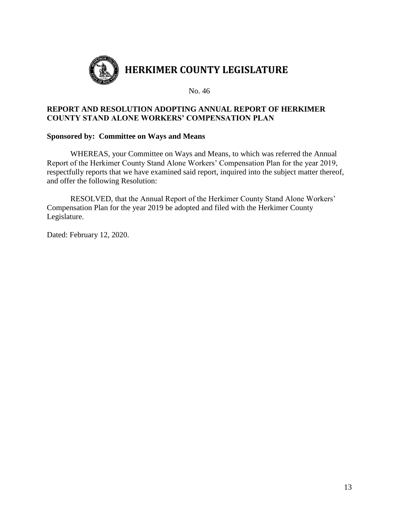

# **REPORT AND RESOLUTION ADOPTING ANNUAL REPORT OF HERKIMER COUNTY STAND ALONE WORKERS' COMPENSATION PLAN**

#### **Sponsored by: Committee on Ways and Means**

WHEREAS, your Committee on Ways and Means, to which was referred the Annual Report of the Herkimer County Stand Alone Workers' Compensation Plan for the year 2019, respectfully reports that we have examined said report, inquired into the subject matter thereof, and offer the following Resolution:

RESOLVED, that the Annual Report of the Herkimer County Stand Alone Workers' Compensation Plan for the year 2019 be adopted and filed with the Herkimer County Legislature.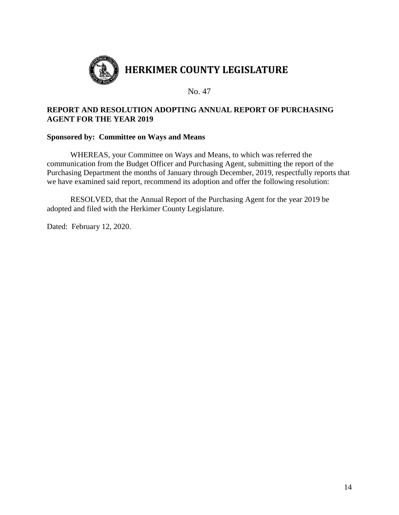

# **REPORT AND RESOLUTION ADOPTING ANNUAL REPORT OF PURCHASING AGENT FOR THE YEAR 2019**

#### **Sponsored by: Committee on Ways and Means**

WHEREAS, your Committee on Ways and Means, to which was referred the communication from the Budget Officer and Purchasing Agent, submitting the report of the Purchasing Department the months of January through December, 2019, respectfully reports that we have examined said report, recommend its adoption and offer the following resolution:

RESOLVED, that the Annual Report of the Purchasing Agent for the year 2019 be adopted and filed with the Herkimer County Legislature.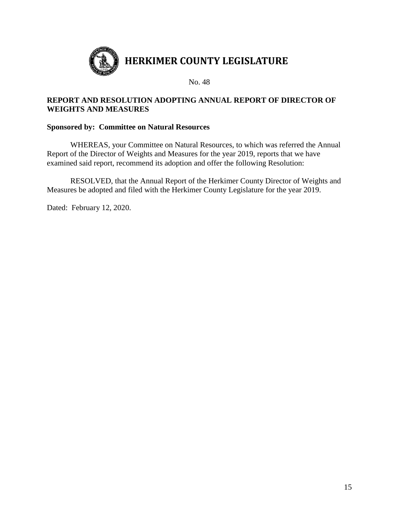

# **REPORT AND RESOLUTION ADOPTING ANNUAL REPORT OF DIRECTOR OF WEIGHTS AND MEASURES**

### **Sponsored by: Committee on Natural Resources**

WHEREAS, your Committee on Natural Resources, to which was referred the Annual Report of the Director of Weights and Measures for the year 2019, reports that we have examined said report, recommend its adoption and offer the following Resolution:

RESOLVED, that the Annual Report of the Herkimer County Director of Weights and Measures be adopted and filed with the Herkimer County Legislature for the year 2019.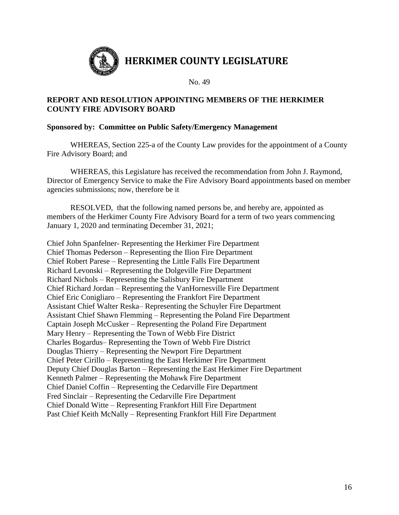

# **REPORT AND RESOLUTION APPOINTING MEMBERS OF THE HERKIMER COUNTY FIRE ADVISORY BOARD**

## **Sponsored by: Committee on Public Safety/Emergency Management**

WHEREAS, Section 225-a of the County Law provides for the appointment of a County Fire Advisory Board; and

WHEREAS, this Legislature has received the recommendation from John J. Raymond, Director of Emergency Service to make the Fire Advisory Board appointments based on member agencies submissions; now, therefore be it

RESOLVED, that the following named persons be, and hereby are, appointed as members of the Herkimer County Fire Advisory Board for a term of two years commencing January 1, 2020 and terminating December 31, 2021;

Chief John Spanfelner- Representing the Herkimer Fire Department Chief Thomas Pederson – Representing the Ilion Fire Department Chief Robert Parese – Representing the Little Falls Fire Department Richard Levonski – Representing the Dolgeville Fire Department Richard Nichols – Representing the Salisbury Fire Department Chief Richard Jordan – Representing the VanHornesville Fire Department Chief Eric Conigliaro – Representing the Frankfort Fire Department Assistant Chief Walter Reska– Representing the Schuyler Fire Department Assistant Chief Shawn Flemming – Representing the Poland Fire Department Captain Joseph McCusker – Representing the Poland Fire Department Mary Henry – Representing the Town of Webb Fire District Charles Bogardus– Representing the Town of Webb Fire District Douglas Thierry – Representing the Newport Fire Department Chief Peter Cirillo – Representing the East Herkimer Fire Department Deputy Chief Douglas Barton – Representing the East Herkimer Fire Department Kenneth Palmer – Representing the Mohawk Fire Department Chief Daniel Coffin – Representing the Cedarville Fire Department Fred Sinclair – Representing the Cedarville Fire Department Chief Donald Witte – Representing Frankfort Hill Fire Department Past Chief Keith McNally – Representing Frankfort Hill Fire Department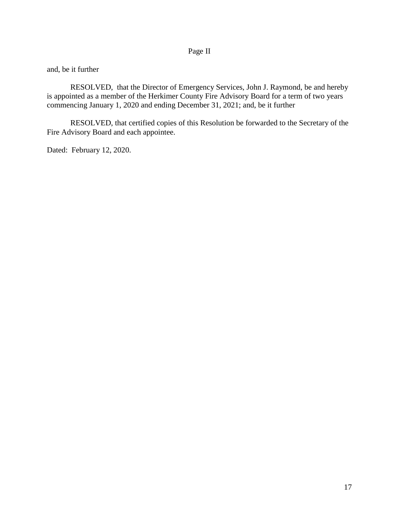# Page II

and, be it further

RESOLVED, that the Director of Emergency Services, John J. Raymond, be and hereby is appointed as a member of the Herkimer County Fire Advisory Board for a term of two years commencing January 1, 2020 and ending December 31, 2021; and, be it further

RESOLVED, that certified copies of this Resolution be forwarded to the Secretary of the Fire Advisory Board and each appointee.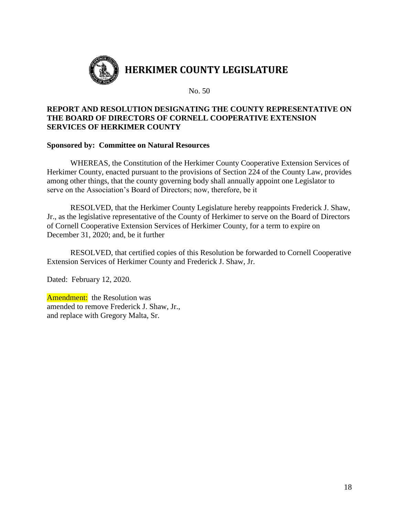

# **REPORT AND RESOLUTION DESIGNATING THE COUNTY REPRESENTATIVE ON THE BOARD OF DIRECTORS OF CORNELL COOPERATIVE EXTENSION SERVICES OF HERKIMER COUNTY**

#### **Sponsored by: Committee on Natural Resources**

WHEREAS, the Constitution of the Herkimer County Cooperative Extension Services of Herkimer County, enacted pursuant to the provisions of Section 224 of the County Law, provides among other things, that the county governing body shall annually appoint one Legislator to serve on the Association's Board of Directors; now, therefore, be it

RESOLVED, that the Herkimer County Legislature hereby reappoints Frederick J. Shaw, Jr., as the legislative representative of the County of Herkimer to serve on the Board of Directors of Cornell Cooperative Extension Services of Herkimer County, for a term to expire on December 31, 2020; and, be it further

RESOLVED, that certified copies of this Resolution be forwarded to Cornell Cooperative Extension Services of Herkimer County and Frederick J. Shaw, Jr.

Dated: February 12, 2020.

**Amendment:** the Resolution was amended to remove Frederick J. Shaw, Jr., and replace with Gregory Malta, Sr.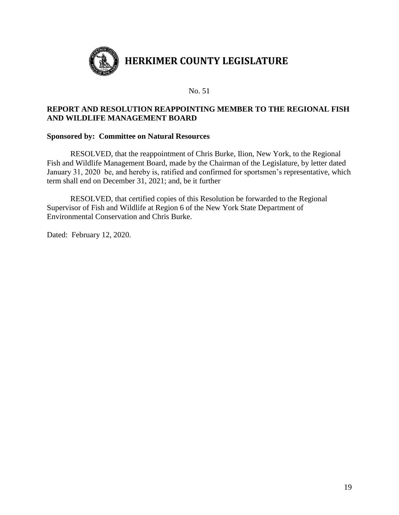

## **REPORT AND RESOLUTION REAPPOINTING MEMBER TO THE REGIONAL FISH AND WILDLIFE MANAGEMENT BOARD**

#### **Sponsored by: Committee on Natural Resources**

RESOLVED, that the reappointment of Chris Burke, Ilion, New York, to the Regional Fish and Wildlife Management Board, made by the Chairman of the Legislature, by letter dated January 31, 2020 be, and hereby is, ratified and confirmed for sportsmen's representative, which term shall end on December 31, 2021; and, be it further

RESOLVED, that certified copies of this Resolution be forwarded to the Regional Supervisor of Fish and Wildlife at Region 6 of the New York State Department of Environmental Conservation and Chris Burke.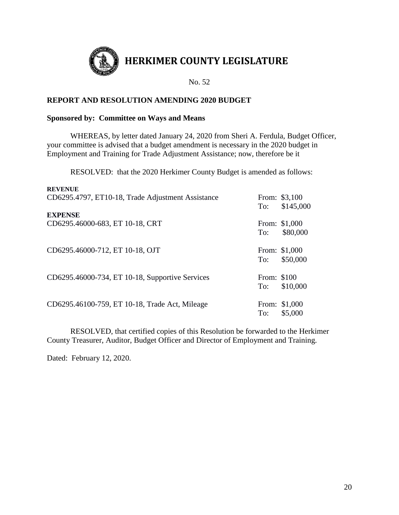

# **HERKIMER COUNTY LEGISLATURE**

No. 52

# **REPORT AND RESOLUTION AMENDING 2020 BUDGET**

#### **Sponsored by: Committee on Ways and Means**

WHEREAS, by letter dated January 24, 2020 from Sheri A. Ferdula, Budget Officer, your committee is advised that a budget amendment is necessary in the 2020 budget in Employment and Training for Trade Adjustment Assistance; now, therefore be it

RESOLVED: that the 2020 Herkimer County Budget is amended as follows:

| <b>REVENUE</b><br>CD6295.4797, ET10-18, Trade Adjustment Assistance | To:                | From: \$3,100<br>\$145,000 |
|---------------------------------------------------------------------|--------------------|----------------------------|
| <b>EXPENSE</b><br>CD6295.46000-683, ET 10-18, CRT                   | To:                | From: \$1,000<br>\$80,000  |
| CD6295.46000-712, ET 10-18, OJT                                     | To:                | From: \$1,000<br>\$50,000  |
| CD6295.46000-734, ET 10-18, Supportive Services                     | From: \$100<br>To: | \$10,000                   |
| CD6295.46100-759, ET 10-18, Trade Act, Mileage                      | To:                | From: \$1,000<br>\$5,000   |

RESOLVED, that certified copies of this Resolution be forwarded to the Herkimer County Treasurer, Auditor, Budget Officer and Director of Employment and Training.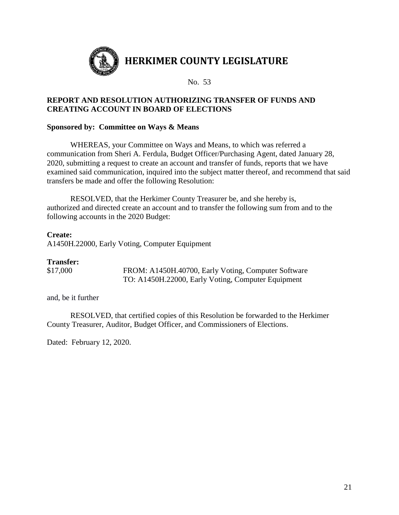

# **REPORT AND RESOLUTION AUTHORIZING TRANSFER OF FUNDS AND CREATING ACCOUNT IN BOARD OF ELECTIONS**

## **Sponsored by: Committee on Ways & Means**

WHEREAS, your Committee on Ways and Means, to which was referred a communication from Sheri A. Ferdula, Budget Officer/Purchasing Agent, dated January 28, 2020, submitting a request to create an account and transfer of funds, reports that we have examined said communication, inquired into the subject matter thereof, and recommend that said transfers be made and offer the following Resolution:

RESOLVED, that the Herkimer County Treasurer be, and she hereby is, authorized and directed create an account and to transfer the following sum from and to the following accounts in the 2020 Budget:

#### **Create:**

A1450H.22000, Early Voting, Computer Equipment

#### **Transfer:**

\$17,000 FROM: A1450H.40700, Early Voting, Computer Software TO: A1450H.22000, Early Voting, Computer Equipment

and, be it further

RESOLVED, that certified copies of this Resolution be forwarded to the Herkimer County Treasurer, Auditor, Budget Officer, and Commissioners of Elections.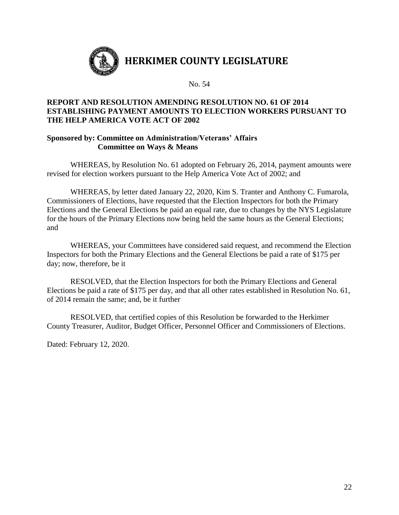

# **REPORT AND RESOLUTION AMENDING RESOLUTION NO. 61 OF 2014 ESTABLISHING PAYMENT AMOUNTS TO ELECTION WORKERS PURSUANT TO THE HELP AMERICA VOTE ACT OF 2002**

# **Sponsored by: Committee on Administration/Veterans' Affairs Committee on Ways & Means**

WHEREAS, by Resolution No. 61 adopted on February 26, 2014, payment amounts were revised for election workers pursuant to the Help America Vote Act of 2002; and

WHEREAS, by letter dated January 22, 2020, Kim S. Tranter and Anthony C. Fumarola, Commissioners of Elections, have requested that the Election Inspectors for both the Primary Elections and the General Elections be paid an equal rate, due to changes by the NYS Legislature for the hours of the Primary Elections now being held the same hours as the General Elections; and

WHEREAS, your Committees have considered said request, and recommend the Election Inspectors for both the Primary Elections and the General Elections be paid a rate of \$175 per day; now, therefore, be it

RESOLVED, that the Election Inspectors for both the Primary Elections and General Elections be paid a rate of \$175 per day, and that all other rates established in Resolution No. 61, of 2014 remain the same; and, be it further

RESOLVED, that certified copies of this Resolution be forwarded to the Herkimer County Treasurer, Auditor, Budget Officer, Personnel Officer and Commissioners of Elections.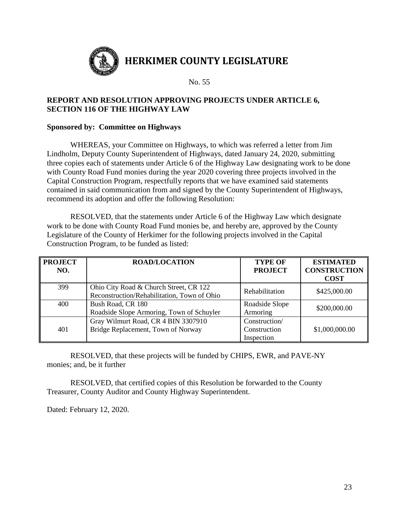

# **REPORT AND RESOLUTION APPROVING PROJECTS UNDER ARTICLE 6, SECTION 116 OF THE HIGHWAY LAW**

## **Sponsored by: Committee on Highways**

WHEREAS, your Committee on Highways, to which was referred a letter from Jim Lindholm, Deputy County Superintendent of Highways, dated January 24, 2020, submitting three copies each of statements under Article 6 of the Highway Law designating work to be done with County Road Fund monies during the year 2020 covering three projects involved in the Capital Construction Program, respectfully reports that we have examined said statements contained in said communication from and signed by the County Superintendent of Highways, recommend its adoption and offer the following Resolution:

RESOLVED, that the statements under Article 6 of the Highway Law which designate work to be done with County Road Fund monies be, and hereby are, approved by the County Legislature of the County of Herkimer for the following projects involved in the Capital Construction Program, to be funded as listed:

| <b>PROJECT</b><br>NO. | <b>ROAD/LOCATION</b>                                                                  | <b>TYPE OF</b><br><b>PROJECT</b> | <b>ESTIMATED</b><br><b>CONSTRUCTION</b> |
|-----------------------|---------------------------------------------------------------------------------------|----------------------------------|-----------------------------------------|
|                       |                                                                                       |                                  | <b>COST</b>                             |
| 399                   | Ohio City Road & Church Street, CR 122<br>Reconstruction/Rehabilitation, Town of Ohio | Rehabilitation                   | \$425,000.00                            |
|                       |                                                                                       |                                  |                                         |
| 400                   | Bush Road, CR 180                                                                     | Roadside Slope                   | \$200,000.00                            |
|                       | Roadside Slope Armoring, Town of Schuyler                                             | Armoring                         |                                         |
|                       | Gray Wilmurt Road, CR 4 BIN 3307910                                                   | Construction/                    |                                         |
| 401                   | Bridge Replacement, Town of Norway                                                    | Construction                     | \$1,000,000.00                          |
|                       |                                                                                       | Inspection                       |                                         |

RESOLVED, that these projects will be funded by CHIPS, EWR, and PAVE-NY monies; and, be it further

RESOLVED, that certified copies of this Resolution be forwarded to the County Treasurer, County Auditor and County Highway Superintendent.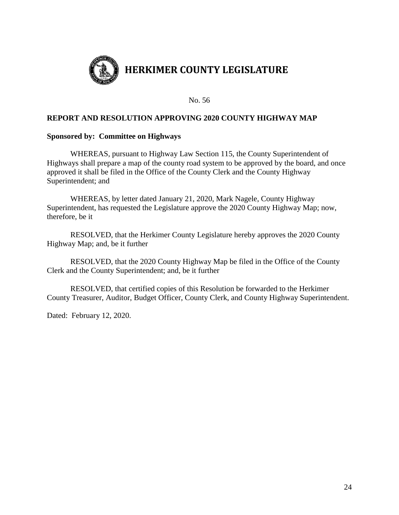

#### **REPORT AND RESOLUTION APPROVING 2020 COUNTY HIGHWAY MAP**

#### **Sponsored by: Committee on Highways**

WHEREAS, pursuant to Highway Law Section 115, the County Superintendent of Highways shall prepare a map of the county road system to be approved by the board, and once approved it shall be filed in the Office of the County Clerk and the County Highway Superintendent; and

WHEREAS, by letter dated January 21, 2020, Mark Nagele, County Highway Superintendent, has requested the Legislature approve the 2020 County Highway Map; now, therefore, be it

RESOLVED, that the Herkimer County Legislature hereby approves the 2020 County Highway Map; and, be it further

RESOLVED, that the 2020 County Highway Map be filed in the Office of the County Clerk and the County Superintendent; and, be it further

RESOLVED, that certified copies of this Resolution be forwarded to the Herkimer County Treasurer, Auditor, Budget Officer, County Clerk, and County Highway Superintendent.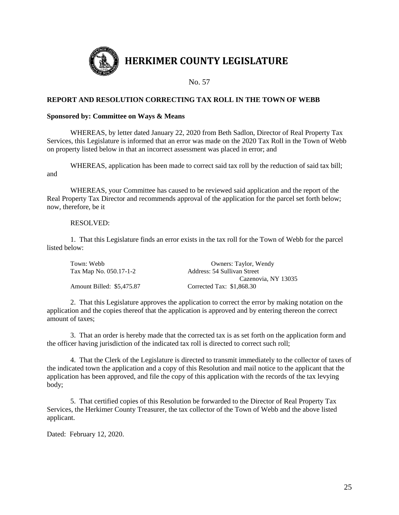

#### **REPORT AND RESOLUTION CORRECTING TAX ROLL IN THE TOWN OF WEBB**

#### **Sponsored by: Committee on Ways & Means**

WHEREAS, by letter dated January 22, 2020 from Beth Sadlon, Director of Real Property Tax Services, this Legislature is informed that an error was made on the 2020 Tax Roll in the Town of Webb on property listed below in that an incorrect assessment was placed in error; and

WHEREAS, application has been made to correct said tax roll by the reduction of said tax bill; and

WHEREAS, your Committee has caused to be reviewed said application and the report of the Real Property Tax Director and recommends approval of the application for the parcel set forth below; now, therefore, be it

#### RESOLVED:

1. That this Legislature finds an error exists in the tax roll for the Town of Webb for the parcel listed below:

| Town: Webb                | Owners: Taylor, Wendy       |
|---------------------------|-----------------------------|
| Tax Map No. 050.17-1-2    | Address: 54 Sullivan Street |
|                           | Cazenovia, NY 13035         |
| Amount Billed: \$5,475.87 | Corrected Tax: \$1,868.30   |

2. That this Legislature approves the application to correct the error by making notation on the application and the copies thereof that the application is approved and by entering thereon the correct amount of taxes;

3. That an order is hereby made that the corrected tax is as set forth on the application form and the officer having jurisdiction of the indicated tax roll is directed to correct such roll;

4. That the Clerk of the Legislature is directed to transmit immediately to the collector of taxes of the indicated town the application and a copy of this Resolution and mail notice to the applicant that the application has been approved, and file the copy of this application with the records of the tax levying body;

5. That certified copies of this Resolution be forwarded to the Director of Real Property Tax Services, the Herkimer County Treasurer, the tax collector of the Town of Webb and the above listed applicant.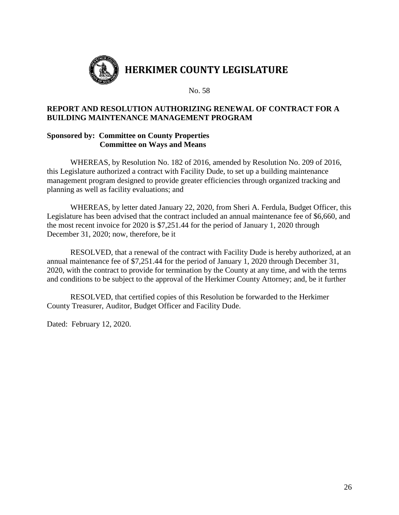

# **REPORT AND RESOLUTION AUTHORIZING RENEWAL OF CONTRACT FOR A BUILDING MAINTENANCE MANAGEMENT PROGRAM**

#### **Sponsored by: Committee on County Properties Committee on Ways and Means**

WHEREAS, by Resolution No. 182 of 2016, amended by Resolution No. 209 of 2016, this Legislature authorized a contract with Facility Dude, to set up a building maintenance management program designed to provide greater efficiencies through organized tracking and planning as well as facility evaluations; and

WHEREAS, by letter dated January 22, 2020, from Sheri A. Ferdula, Budget Officer, this Legislature has been advised that the contract included an annual maintenance fee of \$6,660, and the most recent invoice for 2020 is \$7,251.44 for the period of January 1, 2020 through December 31, 2020; now, therefore, be it

RESOLVED, that a renewal of the contract with Facility Dude is hereby authorized, at an annual maintenance fee of \$7,251.44 for the period of January 1, 2020 through December 31, 2020, with the contract to provide for termination by the County at any time, and with the terms and conditions to be subject to the approval of the Herkimer County Attorney; and, be it further

RESOLVED, that certified copies of this Resolution be forwarded to the Herkimer County Treasurer, Auditor, Budget Officer and Facility Dude.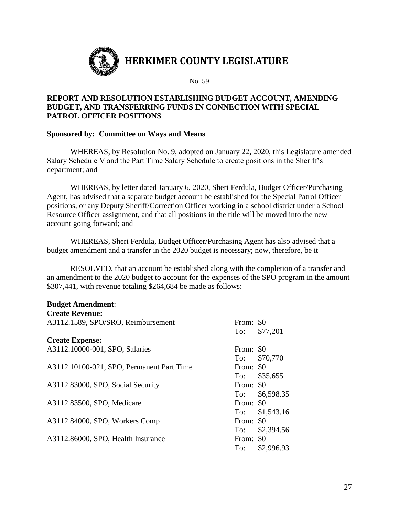

# **REPORT AND RESOLUTION ESTABLISHING BUDGET ACCOUNT, AMENDING BUDGET, AND TRANSFERRING FUNDS IN CONNECTION WITH SPECIAL PATROL OFFICER POSITIONS**

#### **Sponsored by: Committee on Ways and Means**

WHEREAS, by Resolution No. 9, adopted on January 22, 2020, this Legislature amended Salary Schedule V and the Part Time Salary Schedule to create positions in the Sheriff's department; and

WHEREAS, by letter dated January 6, 2020, Sheri Ferdula, Budget Officer/Purchasing Agent, has advised that a separate budget account be established for the Special Patrol Officer positions, or any Deputy Sheriff/Correction Officer working in a school district under a School Resource Officer assignment, and that all positions in the title will be moved into the new account going forward; and

WHEREAS, Sheri Ferdula, Budget Officer/Purchasing Agent has also advised that a budget amendment and a transfer in the 2020 budget is necessary; now, therefore, be it

RESOLVED, that an account be established along with the completion of a transfer and an amendment to the 2020 budget to account for the expenses of the SPO program in the amount \$307,441, with revenue totaling \$264,684 be made as follows:

#### **Budget Amendment**:

| <b>Create Revenue:</b> |  |
|------------------------|--|
|------------------------|--|

| A3112.1589, SPO/SRO, Reimbursement        | From: \$0 |            |
|-------------------------------------------|-----------|------------|
|                                           | To:       | \$77,201   |
| <b>Create Expense:</b>                    |           |            |
| A3112.10000-001, SPO, Salaries            | From: \$0 |            |
|                                           | To:       | \$70,770   |
| A3112.10100-021, SPO, Permanent Part Time | From: \$0 |            |
|                                           | To:       | \$35,655   |
| A3112.83000, SPO, Social Security         | From: \$0 |            |
|                                           | To:       | \$6,598.35 |
| A3112.83500, SPO, Medicare                | From: \$0 |            |
|                                           | To:       | \$1,543.16 |
| A3112.84000, SPO, Workers Comp            | From: \$0 |            |
|                                           | To:       | \$2,394.56 |
| A3112.86000, SPO, Health Insurance        | From: \$0 |            |
|                                           | To:       | \$2,996.93 |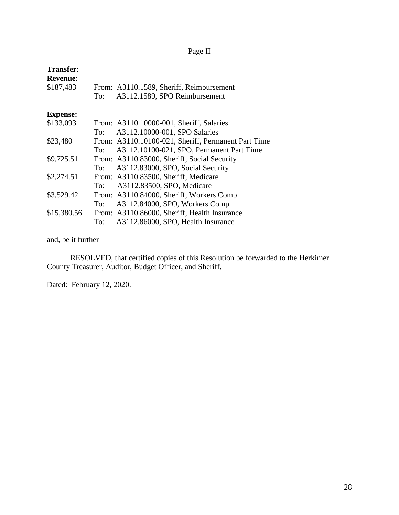# Page II

| Transfer:       |     |                                                     |
|-----------------|-----|-----------------------------------------------------|
| <b>Revenue:</b> |     |                                                     |
| \$187,483       |     | From: A3110.1589, Sheriff, Reimbursement            |
|                 | To: | A3112.1589, SPO Reimbursement                       |
| <b>Expense:</b> |     |                                                     |
| \$133,093       |     | From: A3110.10000-001, Sheriff, Salaries            |
|                 | To: | A3112.10000-001, SPO Salaries                       |
| \$23,480        |     | From: A3110.10100-021, Sheriff, Permanent Part Time |
|                 | To: | A3112.10100-021, SPO, Permanent Part Time           |
| \$9,725.51      |     | From: A3110.83000, Sheriff, Social Security         |
|                 | To: | A3112.83000, SPO, Social Security                   |
| \$2,274.51      |     | From: A3110.83500, Sheriff, Medicare                |
|                 | To: | A3112.83500, SPO, Medicare                          |
| \$3,529.42      |     | From: A3110.84000, Sheriff, Workers Comp            |
|                 | To: | A3112.84000, SPO, Workers Comp                      |
| \$15,380.56     |     | From: A3110.86000, Sheriff, Health Insurance        |
|                 | To: | A3112.86000, SPO, Health Insurance                  |
|                 |     |                                                     |

# and, be it further

RESOLVED, that certified copies of this Resolution be forwarded to the Herkimer County Treasurer, Auditor, Budget Officer, and Sheriff.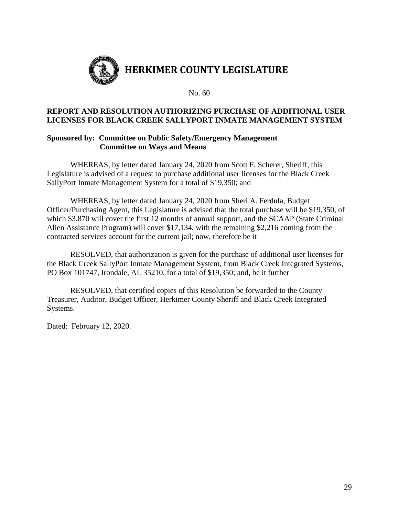

#### **REPORT AND RESOLUTION AUTHORIZING PURCHASE OF ADDITIONAL USER LICENSES FOR BLACK CREEK SALLYPORT INMATE MANAGEMENT SYSTEM**

# **Sponsored by: Committee on Public Safety/Emergency Management Committee on Ways and Means**

WHEREAS, by letter dated January 24, 2020 from Scott F. Scherer, Sheriff, this Legislature is advised of a request to purchase additional user licenses for the Black Creek SallyPort Inmate Management System for a total of \$19,350; and

WHEREAS, by letter dated January 24, 2020 from Sheri A. Ferdula, Budget Officer/Purchasing Agent, this Legislature is advised that the total purchase will be \$19,350, of which \$3,870 will cover the first 12 months of annual support, and the SCAAP (State Criminal Alien Assistance Program) will cover \$17,134, with the remaining \$2,216 coming from the contracted services account for the current jail; now, therefore be it

RESOLVED, that authorization is given for the purchase of additional user licenses for the Black Creek SallyPort Inmate Management System, from Black Creek Integrated Systems, PO Box 101747, Irondale, AL 35210, for a total of \$19,350; and, be it further

RESOLVED, that certified copies of this Resolution be forwarded to the County Treasurer, Auditor, Budget Officer, Herkimer County Sheriff and Black Creek Integrated Systems.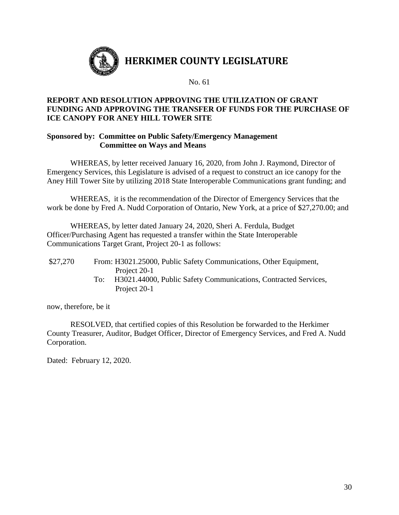

# **REPORT AND RESOLUTION APPROVING THE UTILIZATION OF GRANT FUNDING AND APPROVING THE TRANSFER OF FUNDS FOR THE PURCHASE OF ICE CANOPY FOR ANEY HILL TOWER SITE**

### **Sponsored by: Committee on Public Safety/Emergency Management Committee on Ways and Means**

WHEREAS, by letter received January 16, 2020, from John J. Raymond, Director of Emergency Services, this Legislature is advised of a request to construct an ice canopy for the Aney Hill Tower Site by utilizing 2018 State Interoperable Communications grant funding; and

WHEREAS, it is the recommendation of the Director of Emergency Services that the work be done by Fred A. Nudd Corporation of Ontario, New York, at a price of \$27,270.00; and

WHEREAS, by letter dated January 24, 2020, Sheri A. Ferdula, Budget Officer/Purchasing Agent has requested a transfer within the State Interoperable Communications Target Grant, Project 20-1 as follows:

- \$27,270 From: H3021.25000, Public Safety Communications, Other Equipment, Project 20-1
	- To: H3021.44000, Public Safety Communications, Contracted Services, Project 20-1

now, therefore, be it

RESOLVED, that certified copies of this Resolution be forwarded to the Herkimer County Treasurer, Auditor, Budget Officer, Director of Emergency Services, and Fred A. Nudd Corporation.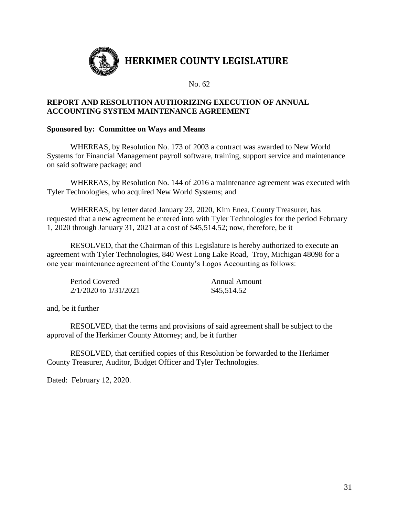

### **REPORT AND RESOLUTION AUTHORIZING EXECUTION OF ANNUAL ACCOUNTING SYSTEM MAINTENANCE AGREEMENT**

#### **Sponsored by: Committee on Ways and Means**

WHEREAS, by Resolution No. 173 of 2003 a contract was awarded to New World Systems for Financial Management payroll software, training, support service and maintenance on said software package; and

WHEREAS, by Resolution No. 144 of 2016 a maintenance agreement was executed with Tyler Technologies, who acquired New World Systems; and

WHEREAS, by letter dated January 23, 2020, Kim Enea, County Treasurer, has requested that a new agreement be entered into with Tyler Technologies for the period February 1, 2020 through January 31, 2021 at a cost of \$45,514.52; now, therefore, be it

RESOLVED, that the Chairman of this Legislature is hereby authorized to execute an agreement with Tyler Technologies, 840 West Long Lake Road, Troy, Michigan 48098 for a one year maintenance agreement of the County's Logos Accounting as follows:

Period Covered Annual Amount 2/1/2020 to 1/31/2021 \$45,514.52

and, be it further

RESOLVED, that the terms and provisions of said agreement shall be subject to the approval of the Herkimer County Attorney; and, be it further

RESOLVED, that certified copies of this Resolution be forwarded to the Herkimer County Treasurer, Auditor, Budget Officer and Tyler Technologies.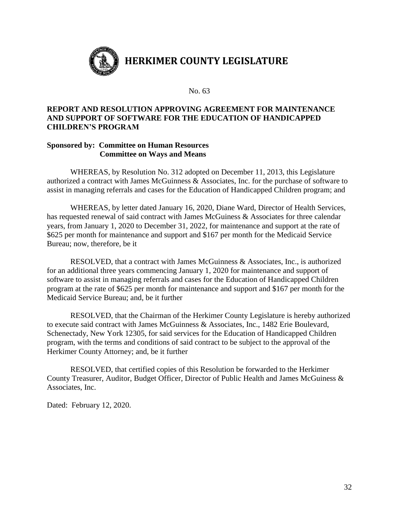

## **REPORT AND RESOLUTION APPROVING AGREEMENT FOR MAINTENANCE AND SUPPORT OF SOFTWARE FOR THE EDUCATION OF HANDICAPPED CHILDREN'S PROGRAM**

#### **Sponsored by: Committee on Human Resources Committee on Ways and Means**

WHEREAS, by Resolution No. 312 adopted on December 11, 2013, this Legislature authorized a contract with James McGuinness & Associates, Inc. for the purchase of software to assist in managing referrals and cases for the Education of Handicapped Children program; and

WHEREAS, by letter dated January 16, 2020, Diane Ward, Director of Health Services, has requested renewal of said contract with James McGuiness & Associates for three calendar years, from January 1, 2020 to December 31, 2022, for maintenance and support at the rate of \$625 per month for maintenance and support and \$167 per month for the Medicaid Service Bureau; now, therefore, be it

RESOLVED, that a contract with James McGuinness & Associates, Inc., is authorized for an additional three years commencing January 1, 2020 for maintenance and support of software to assist in managing referrals and cases for the Education of Handicapped Children program at the rate of \$625 per month for maintenance and support and \$167 per month for the Medicaid Service Bureau; and, be it further

RESOLVED, that the Chairman of the Herkimer County Legislature is hereby authorized to execute said contract with James McGuinness & Associates, Inc., 1482 Erie Boulevard, Schenectady, New York 12305, for said services for the Education of Handicapped Children program, with the terms and conditions of said contract to be subject to the approval of the Herkimer County Attorney; and, be it further

RESOLVED, that certified copies of this Resolution be forwarded to the Herkimer County Treasurer, Auditor, Budget Officer, Director of Public Health and James McGuiness & Associates, Inc.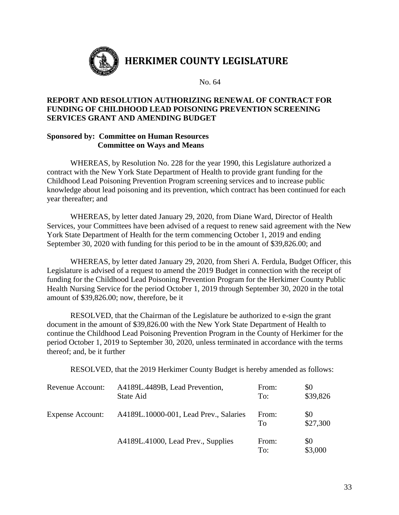

# **HERKIMER COUNTY LEGISLATURE**

No. 64

#### **REPORT AND RESOLUTION AUTHORIZING RENEWAL OF CONTRACT FOR FUNDING OF CHILDHOOD LEAD POISONING PREVENTION SCREENING SERVICES GRANT AND AMENDING BUDGET**

#### **Sponsored by: Committee on Human Resources Committee on Ways and Means**

WHEREAS, by Resolution No. 228 for the year 1990, this Legislature authorized a contract with the New York State Department of Health to provide grant funding for the Childhood Lead Poisoning Prevention Program screening services and to increase public knowledge about lead poisoning and its prevention, which contract has been continued for each year thereafter; and

WHEREAS, by letter dated January 29, 2020, from Diane Ward, Director of Health Services, your Committees have been advised of a request to renew said agreement with the New York State Department of Health for the term commencing October 1, 2019 and ending September 30, 2020 with funding for this period to be in the amount of \$39,826.00; and

WHEREAS, by letter dated January 29, 2020, from Sheri A. Ferdula, Budget Officer, this Legislature is advised of a request to amend the 2019 Budget in connection with the receipt of funding for the Childhood Lead Poisoning Prevention Program for the Herkimer County Public Health Nursing Service for the period October 1, 2019 through September 30, 2020 in the total amount of \$39,826.00; now, therefore, be it

RESOLVED, that the Chairman of the Legislature be authorized to e-sign the grant document in the amount of \$39,826.00 with the New York State Department of Health to continue the Childhood Lead Poisoning Prevention Program in the County of Herkimer for the period October 1, 2019 to September 30, 2020, unless terminated in accordance with the terms thereof; and, be it further

RESOLVED, that the 2019 Herkimer County Budget is hereby amended as follows:

| Revenue Account:        | A4189L.4489B, Lead Prevention,<br>State Aid | From:<br>To: | \$0<br>\$39,826 |
|-------------------------|---------------------------------------------|--------------|-----------------|
| <b>Expense Account:</b> | A4189L.10000-001, Lead Prev., Salaries      | From:<br>Tο  | \$0<br>\$27,300 |
|                         | A4189L.41000, Lead Prev., Supplies          | From:<br>To: | \$0<br>\$3,000  |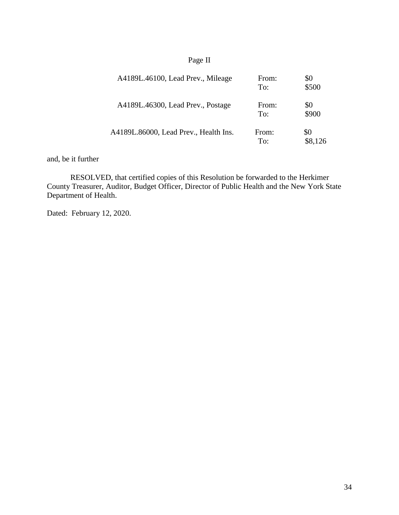# Page II

| A4189L.46100, Lead Prev., Mileage     | From:<br>To: | \$0<br>\$500   |
|---------------------------------------|--------------|----------------|
| A4189L.46300, Lead Prev., Postage     | From:<br>To: | \$0<br>\$900   |
| A4189L.86000, Lead Prev., Health Ins. | From:<br>To: | \$0<br>\$8,126 |

and, be it further

RESOLVED, that certified copies of this Resolution be forwarded to the Herkimer County Treasurer, Auditor, Budget Officer, Director of Public Health and the New York State Department of Health.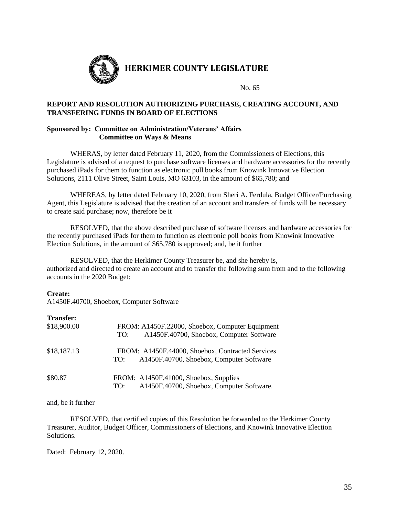

# **HERKIMER COUNTY LEGISLATURE**

#### No. 65

#### **REPORT AND RESOLUTION AUTHORIZING PURCHASE, CREATING ACCOUNT, AND TRANSFERING FUNDS IN BOARD OF ELECTIONS**

#### **Sponsored by: Committee on Administration/Veterans' Affairs Committee on Ways & Means**

WHERAS, by letter dated February 11, 2020, from the Commissioners of Elections, this Legislature is advised of a request to purchase software licenses and hardware accessories for the recently purchased iPads for them to function as electronic poll books from Knowink Innovative Election Solutions, 2111 Olive Street, Saint Louis, MO 63103, in the amount of \$65,780; and

WHEREAS, by letter dated February 10, 2020, from Sheri A. Ferdula, Budget Officer/Purchasing Agent, this Legislature is advised that the creation of an account and transfers of funds will be necessary to create said purchase; now, therefore be it

RESOLVED, that the above described purchase of software licenses and hardware accessories for the recently purchased iPads for them to function as electronic poll books from Knowink Innovative Election Solutions, in the amount of \$65,780 is approved; and, be it further

RESOLVED, that the Herkimer County Treasurer be, and she hereby is, authorized and directed to create an account and to transfer the following sum from and to the following accounts in the 2020 Budget:

#### **Create:**

A1450F.40700, Shoebox, Computer Software

#### **Transfer:**

| \$18,900.00 | FROM: A1450F.22000, Shoebox, Computer Equipment<br>A1450F.40700, Shoebox, Computer Software<br>TO:  |
|-------------|-----------------------------------------------------------------------------------------------------|
| \$18,187.13 | FROM: A1450F.44000, Shoebox, Contracted Services<br>A1450F.40700, Shoebox, Computer Software<br>TO: |
| \$80.87     | FROM: A1450F.41000, Shoebox, Supplies<br>A1450F.40700, Shoebox, Computer Software.<br>TO:           |

and, be it further

RESOLVED, that certified copies of this Resolution be forwarded to the Herkimer County Treasurer, Auditor, Budget Officer, Commissioners of Elections, and Knowink Innovative Election Solutions.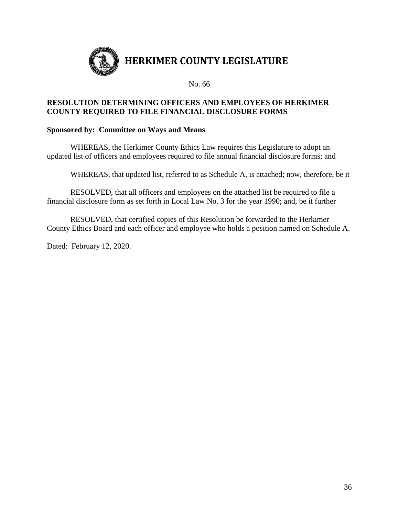

#### **RESOLUTION DETERMINING OFFICERS AND EMPLOYEES OF HERKIMER COUNTY REQUIRED TO FILE FINANCIAL DISCLOSURE FORMS**

#### **Sponsored by: Committee on Ways and Means**

WHEREAS, the Herkimer County Ethics Law requires this Legislature to adopt an updated list of officers and employees required to file annual financial disclosure forms; and

WHEREAS, that updated list, referred to as Schedule A, is attached; now, therefore, be it

RESOLVED, that all officers and employees on the attached list be required to file a financial disclosure form as set forth in Local Law No. 3 for the year 1990; and, be it further

RESOLVED, that certified copies of this Resolution be forwarded to the Herkimer County Ethics Board and each officer and employee who holds a position named on Schedule A.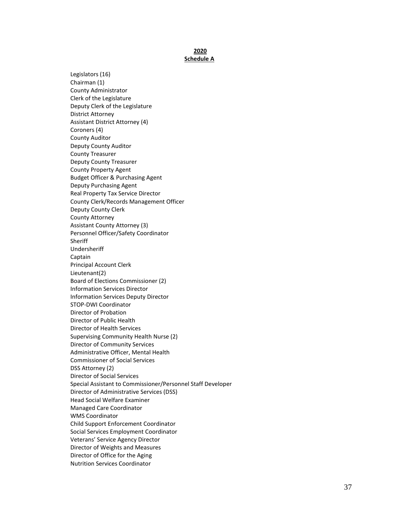#### **2020 Schedule A**

Legislators (16) Chairman (1) County Administrator Clerk of the Legislature Deputy Clerk of the Legislature District Attorney Assistant District Attorney (4) Coroners (4) County Auditor Deputy County Auditor County Treasurer Deputy County Treasurer County Property Agent Budget Officer & Purchasing Agent Deputy Purchasing Agent Real Property Tax Service Director County Clerk/Records Management Officer Deputy County Clerk County Attorney Assistant County Attorney (3) Personnel Officer/Safety Coordinator **Sheriff** Undersheriff Captain Principal Account Clerk Lieutenant(2) Board of Elections Commissioner (2) Information Services Director Information Services Deputy Director STOP -DWI Coordinator Director of Probation Director of Public Health Director of Health Services Supervising Community Health Nurse (2) Director of Community Services Administrative Officer, Mental Health Commissioner of Social Services DSS Attorney (2) Director of Social Services Special Assistant to Commissioner/Personnel Staff Developer Director of Administrative Services (DSS) Head Social Welfare Examiner Managed Care Coordinator WMS Coordinator Child Support Enforcement Coordinator Social Services Employment Coordinator Veterans' Service Agency Director Director of Weights and Measures Director of Office for the Aging Nutrition Services Coordinator